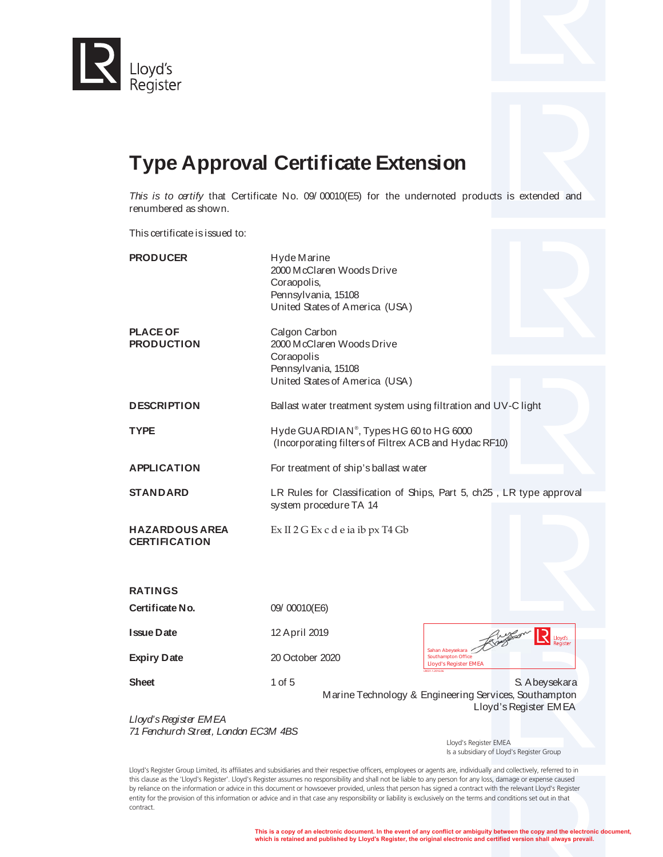



*This is to certify* that Certificate No. 09/ 00010(E5) for the undernoted products is extended and renumbered as shown.

This certificate is issued to:

| <b>PRODUCER</b>                               | Hyde Marine<br>2000 McClaren Woods Drive<br>Coraopolis,<br>Pennsylvania, 15108<br>United States of America (USA)  |                                                                                                  |
|-----------------------------------------------|-------------------------------------------------------------------------------------------------------------------|--------------------------------------------------------------------------------------------------|
| <b>PLACE OF</b><br><b>PRODUCTION</b>          | Calgon Carbon<br>2000 McClaren Woods Drive<br>Coraopolis<br>Pennsylvania, 15108<br>United States of America (USA) |                                                                                                  |
| <b>DESCRIPTION</b>                            | Ballast water treatment system using filtration and UV-C light                                                    |                                                                                                  |
| <b>TYPE</b>                                   | Hyde GUARDIAN <sup>®</sup> , Types HG 60 to HG 6000<br>(Incorporating filters of Filtrex ACB and Hydac RF10)      |                                                                                                  |
| <b>APPLICATION</b>                            | For treatment of ship's ballast water                                                                             |                                                                                                  |
| <b>STANDARD</b>                               | system procedure TA 14                                                                                            | LR Rules for Classification of Ships, Part 5, ch25, LR type approval                             |
| <b>HAZARDOUS AREA</b><br><b>CERTIFICATION</b> | Ex II 2 G Ex c d e ia ib px T4 Gb                                                                                 |                                                                                                  |
| <b>RATINGS</b>                                |                                                                                                                   |                                                                                                  |
| Certificate No.                               | 09/00010(E6)                                                                                                      |                                                                                                  |
| <b>Issue Date</b>                             | 12 April 2019                                                                                                     | Lloyd's                                                                                          |
| <b>Expiry Date</b>                            | 20 October 2020                                                                                                   | Sahan Abeysekara<br>Southampton Office<br><b>Lloyd's Register EMEA</b>                           |
| <b>Sheet</b>                                  | 1 of 5                                                                                                            | S. A beysekara<br>Marine Technology & Engineering Services, Southampton<br>Lloyd's Register EMEA |
| Lloyd's Register EMEA                         |                                                                                                                   |                                                                                                  |

*71 Fenchurch Street, London EC3M 4BS*

 Lloyd's Register EMEA Is a subsidiary of Lloyd's Register Group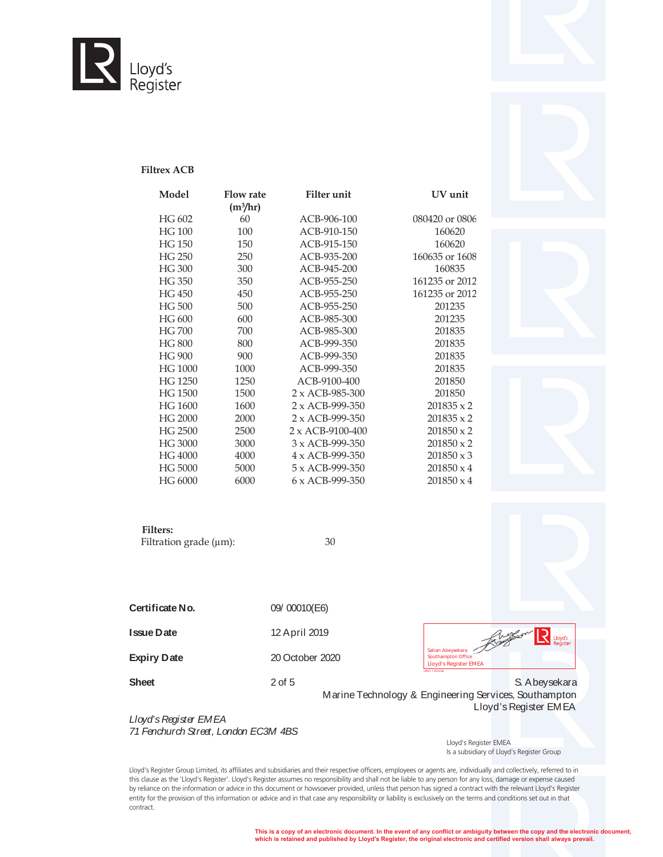

### **Filtrex ACB**

| Model         | <b>Flow rate</b>     | <b>Filter</b> unit      | UV unit           |
|---------------|----------------------|-------------------------|-------------------|
|               | (m <sup>3</sup> /hr) |                         |                   |
| HG 602        | 60                   | ACB-906-100             | 080420 or 0806    |
| <b>HG 100</b> | 100                  | ACB-910-150             | 160620            |
| <b>HG 150</b> | 150                  | ACB-915-150             | 160620            |
| HG 250        | 250                  | ACB-935-200             | 160635 or 1608    |
| HG 300        | 300                  | ACB-945-200             | 160835            |
| HG 350        | 350                  | ACB-955-250             | 161235 or 2012    |
| HG 450        | 450                  | ACB-955-250             | 161235 or 2012    |
| HG 500        | 500                  | ACB-955-250             | 201235            |
| HG 600        | 600                  | ACB-985-300             | 201235            |
| <b>HG700</b>  | 700                  | ACB-985-300             | 201835            |
| <b>HG 800</b> | 800                  | ACB-999-350             | 201835            |
| HG 900        | 900                  | ACB-999-350             | 201835            |
| HG 1000       | 1000                 | ACB-999-350             | 201835            |
| HG 1250       | 1250                 | ACB-9100-400            | 201850            |
| HG 1500       | 1500                 | $2 \times ACB-985-300$  | 201850            |
| HG 1600       | 1600                 | $2 \times ACB-999-350$  | $201835 \times 2$ |
| HG 2000       | 2000                 | $2 \times ACB-999-350$  | $201835 \times 2$ |
| HG 2500       | 2500                 | $2 \times ACB-9100-400$ | $201850 \times 2$ |
| HG 3000       | 3000                 | $3 \times ACB-999-350$  | $201850 \times 2$ |
| HG 4000       | 4000                 | 4 x ACB-999-350         | $201850 \times 3$ |
| HG 5000       | 5000                 | $5 \times ACB-999-350$  | $201850 \times 4$ |
| HG 6000       | 6000                 | $6 \times ACB-999-350$  | $201850 \times 4$ |
|               |                      |                         |                   |



**Filters:** 

Filtration grade  $(\mu m)$ : 30

**Certificate No.** 09/ 00010(E6) **Issue Date** 12 April 2019 **Expiry Date** 20 October 2020

 $R_{\text{Doyd's}}$ Southampton Office<br>Lloyd's Register EMEA Sahan Abeysekara Southampton Office**Lloyd's Register EMEA**

**Sheet** 2 of 5 2 of 5 S. Abeysekara Marine Technology & Engineering Services, Southampton Lloyd's Register EMEA

*Lloyd's Register EMEA 71 Fenchurch Street, London EC3M 4BS*

 Lloyd's Register EMEA Is a subsidiary of Lloyd's Register Group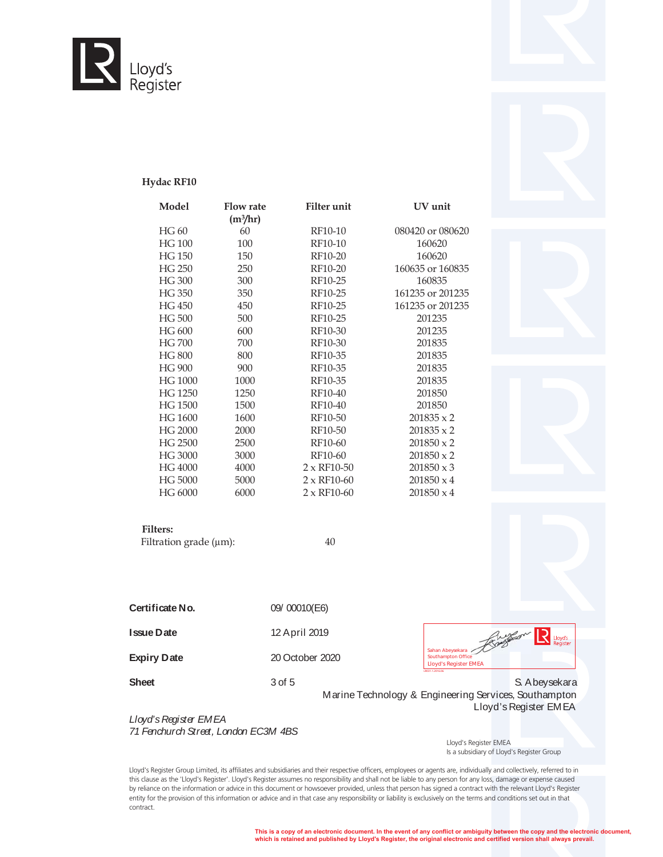

## **Hydac RF10**

| Model         | <b>Flow rate</b>     | <b>Filter</b> unit | UV unit           |
|---------------|----------------------|--------------------|-------------------|
|               | (m <sup>3</sup> /hr) |                    |                   |
| HG 60         | 60                   | RF10-10            | 080420 or 080620  |
| <b>HG 100</b> | 100                  | RF10-10            | 160620            |
| <b>HG 150</b> | 150                  | RF10-20            | 160620            |
| HG 250        | 250                  | RF10-20            | 160635 or 160835  |
| HG 300        | 300                  | RF10-25            | 160835            |
| HG 350        | 350                  | RF10-25            | 161235 or 201235  |
| HG 450        | 450                  | RF10-25            | 161235 or 201235  |
| HG 500        | 500                  | RF10-25            | 201235            |
| HG 600        | 600                  | RF10-30            | 201235            |
| HG 700        | 700                  | RF10-30            | 201835            |
| HG 800        | 800                  | RF10-35            | 201835            |
| HG 900        | 900                  | RF10-35            | 201835            |
| HG 1000       | 1000                 | RF10-35            | 201835            |
| HG 1250       | 1250                 | RF10-40            | 201850            |
| HG 1500       | 1500                 | RF10-40            | 201850            |
| HG 1600       | 1600                 | RF10-50            | $201835 \times 2$ |
| HG 2000       | 2000                 | RF10-50            | $201835 \times 2$ |
| HG 2500       | 2500                 | RF10-60            | $201850 \times 2$ |
| HG 3000       | 3000                 | RF10-60            | $201850 \times 2$ |
| HG 4000       | 4000                 | $2 \times$ RF10-50 | $201850 \times 3$ |
| HG 5000       | 5000                 | $2 \times$ RF10-60 | $201850 \times 4$ |
| HG 6000       | 6000                 | $2 \times$ RF10-60 | $201850 \times 4$ |



#### **Filters:**

Filtration grade  $(\mu m)$ : 40

**Certificate No.** 09/ 00010(E6) **Issue Date** 12 April 2019 **Expiry Date** 20 October 2020 LR031.1.2016.06 **Lloyd's Register EMEA** Sahan Abeysekara Southampton Office

 $R_{\text{Doyd's}}$ 

**Sheet** 3 of 5 3 3 of 5 S. Abeysekara Marine Technology & Engineering Services, Southampton Lloyd's Register EMEA

*Lloyd's Register EMEA 71 Fenchurch Street, London EC3M 4BS*

 Lloyd's Register EMEA Is a subsidiary of Lloyd's Register Group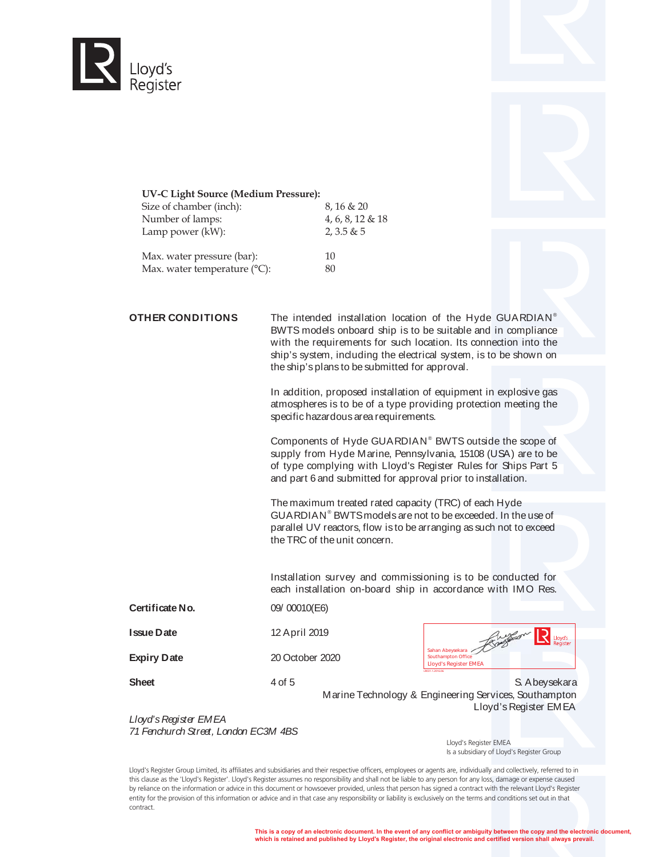



#### **UV-C Light Source (Medium Pressure):**

Max. water temperature (°C): 80

| Size of chamber (inch):    | $8,16 \& 20$        |
|----------------------------|---------------------|
| Number of lamps:           | $4, 6, 8, 12 \& 18$ |
| Lamp power (kW):           | 2,3.5 & 5           |
| Max. water pressure (bar): | 10                  |

**OTHER CONDITIONS** The intended installation location of the Hyde GUARDIAN<sup>®</sup> BWTS models onboard ship is to be suitable and in compliance with the requirements for such location. Its connection into the ship's system, including the electrical system, is to be shown on the ship's plans to be submitted for approval.

> In addition, proposed installation of equipment in explosive gas atmospheres is to be of a type providing protection meeting the specific hazardous area requirements.

> Components of Hyde GUARDIAN<sup>®</sup> BWTS outside the scope of supply from Hyde Marine, Pennsylvania, 15108 (USA) are to be of type complying with Lloyd's Register Rules for Ships Part 5 and part 6 and submitted for approval prior to installation.

The maximum treated rated capacity (TRC) of each Hyde GUARDIAN<sup>®</sup> BWTS models are not to be exceeded. In the use of parallel UV reactors, flow is to be arranging as such not to exceed the TRC of the unit concern.

Installation survey and commissioning is to be conducted for each installation on-board ship in accordance with IMO Res.

**Certificate No.** 09/ 00010(E6)

**Issue Date** 12 April 2019

**Expiry Date** 20 October 2020

|                              |  | Lloyd's<br>Register |
|------------------------------|--|---------------------|
| Sahan Abeysekara             |  |                     |
| Southampton Office           |  |                     |
| <b>Lloyd's Register EMEA</b> |  |                     |

**Sheet** 4 of 5 4 of 5 S. Abeysekara Marine Technology & Engineering Services, Southampton Lloyd's Register EMEA

LR031.1.2016.06

*Lloyd's Register EMEA 71 Fenchurch Street, London EC3M 4BS*

 Lloyd's Register EMEA Is a subsidiary of Lloyd's Register Group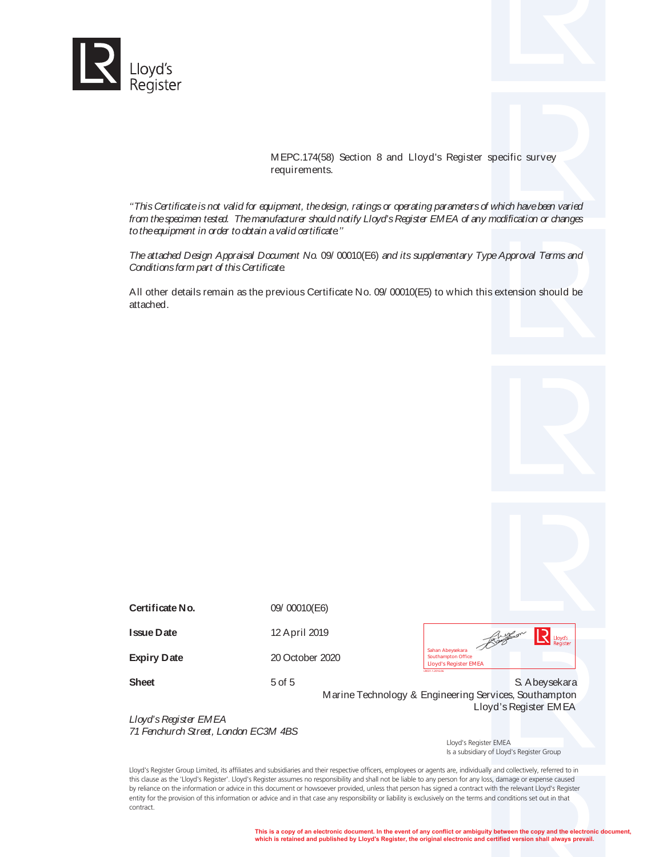

MEPC.174(58) Section 8 and Lloyd's Register specific survey requirements.

*''This Certificate is not valid for equipment, the design, ratings or operating parameters of which have been varied from the specimen tested. The manufacturer should notify Lloyd's Register EMEA of any modification or changes to the equipment in order to obtain a valid certificate.''*

*The attached Design Appraisal Document No.* 09/ 00010(E6) *and its supplementary Type Approval Terms and Conditions form part of this Certificate.*

All other details remain as the previous Certificate No. 09/ 00010(E5) to which this extension should be attached.

**Certificate No.** 09/ 00010(E6)

**Issue Date** 12 April 2019

**Expiry Date** 20 October 2020

 $\mathbf{R}$  Lloyd's Sahan Abeysekara Southampton Office**Lloyd's Register EMEA** LR031.1.2016.06

**Sheet** 5 of 5 S. Abeysekara Marine Technology & Engineering Services, Southampton Lloyd's Register EMEA

*Lloyd's Register EMEA 71 Fenchurch Street, London EC3M 4BS*

 Lloyd's Register EMEA Is a subsidiary of Lloyd's Register Group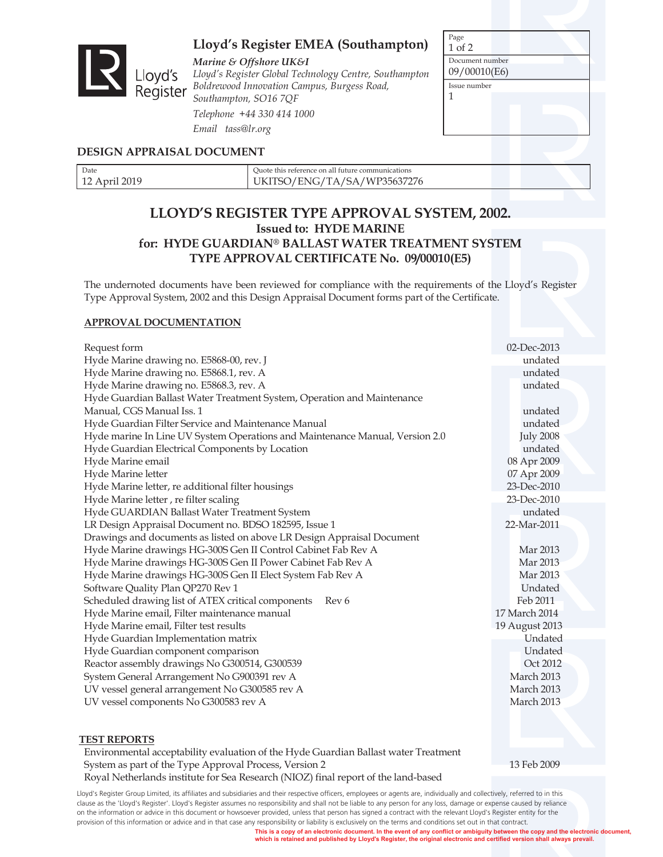

# **Lloyd's Register EMEA (Southampton)**

*Marine & Offshore UK&I Lloyd's Register Global Technology Centre, Southampton Boldridge Coffshore UK&I*<br>Lloyd's *Lloyd's Register Global Technology Centre, Sout*<br>Register *Boldrewood Innovation Campus, Burgess Road, Southampton, SO16 7QF Telephone +44 330 414 1000 Email tass@lr.org*

| Page            |  |  |  |
|-----------------|--|--|--|
| 1 of 2          |  |  |  |
| Document number |  |  |  |
| 09/00010(E6)    |  |  |  |
| Issue number    |  |  |  |
| 1               |  |  |  |
|                 |  |  |  |
|                 |  |  |  |
|                 |  |  |  |
|                 |  |  |  |

# **DESIGN APPRAISAL DOCUMENT**

| Date              | Ouote this reference on all future communications |  |  |
|-------------------|---------------------------------------------------|--|--|
| 2019<br><b>**</b> | WP35637276<br>'TA/SA/<br>'FNGZ                    |  |  |

# **LLOYD'S REGISTER TYPE APPROVAL SYSTEM, 2002. Issued to: HYDE MARINE for: HYDE GUARDIAN® BALLAST WATER TREATMENT SYSTEM TYPE APPROVAL CERTIFICATE No. 09/00010(E5)**

The undernoted documents have been reviewed for compliance with the requirements of the Lloyd's Register Type Approval System, 2002 and this Design Appraisal Document forms part of the Certificate.

### **APPROVAL DOCUMENTATION**

| Request form                                                                 | 02-Dec-2013      |
|------------------------------------------------------------------------------|------------------|
| Hyde Marine drawing no. E5868-00, rev. J                                     | undated          |
| Hyde Marine drawing no. E5868.1, rev. A                                      | undated          |
| Hyde Marine drawing no. E5868.3, rev. A                                      | undated          |
| Hyde Guardian Ballast Water Treatment System, Operation and Maintenance      |                  |
| Manual, CGS Manual Iss. 1                                                    | undated          |
| Hyde Guardian Filter Service and Maintenance Manual                          | undated          |
| Hyde marine In Line UV System Operations and Maintenance Manual, Version 2.0 | <b>July 2008</b> |
| Hyde Guardian Electrical Components by Location                              | undated          |
| Hyde Marine email                                                            | 08 Apr 2009      |
| Hyde Marine letter                                                           | 07 Apr 2009      |
| Hyde Marine letter, re additional filter housings                            | 23-Dec-2010      |
| Hyde Marine letter, re filter scaling                                        | 23-Dec-2010      |
| Hyde GUARDIAN Ballast Water Treatment System                                 | undated          |
| LR Design Appraisal Document no. BDSO 182595, Issue 1                        | 22-Mar-2011      |
| Drawings and documents as listed on above LR Design Appraisal Document       |                  |
| Hyde Marine drawings HG-300S Gen II Control Cabinet Fab Rev A                | Mar 2013         |
| Hyde Marine drawings HG-300S Gen II Power Cabinet Fab Rev A                  | Mar 2013         |
| Hyde Marine drawings HG-300S Gen II Elect System Fab Rev A                   | Mar 2013         |
| Software Quality Plan QP270 Rev 1                                            | <b>Undated</b>   |
| Scheduled drawing list of ATEX critical components<br>Rev 6                  | Feb 2011         |
| Hyde Marine email, Filter maintenance manual                                 | 17 March 2014    |
| Hyde Marine email, Filter test results                                       | 19 August 2013   |
| Hyde Guardian Implementation matrix                                          | Undated          |
| Hyde Guardian component comparison                                           | Undated          |
| Reactor assembly drawings No G300514, G300539                                | Oct 2012         |
| System General Arrangement No G900391 rev A                                  | March 2013       |
| UV vessel general arrangement No G300585 rev A                               | March 2013       |
| UV vessel components No G300583 rev A                                        | March 2013       |
|                                                                              |                  |

# **TEST REPORTS**

Environmental acceptability evaluation of the Hyde Guardian Ballast water Treatment System as part of the Type Approval Process, Version 2 13 Feb 2009 Royal Netherlands institute for Sea Research (NIOZ) final report of the land-based

Lloyd's Register Group Limited, its affiliates and subsidiaries and their respective officers, employees or agents are, individually and collectively, referred to in this clause as the 'Lloyd's Register'. Lloyd's Register assumes no responsibility and shall not be liable to any person for any loss, damage or expense caused by reliance on the information or advice in this document or howsoever provided, unless that person has signed a contract with the relevant Lloyd's Register entity for the provision of this information or advice and in that case any responsibility or liability is exclusively on the terms and conditions set out in that contract.

**This is a copy of an electronic document. In the event of any conflict or ambiguity between the copy and the electronic document, which is retained and published by Lloyd's Register, the original electronic and certified version shall always prevail.**